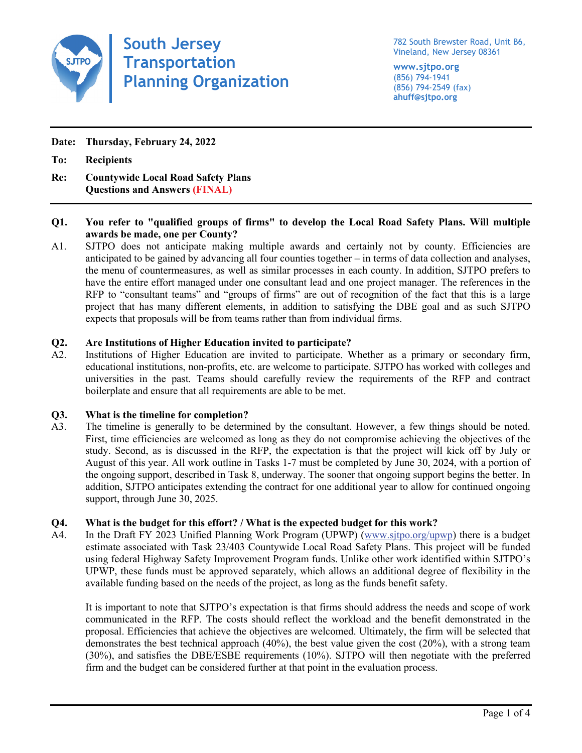

**South Jersey Transportation Planning Organization**

782 South Brewster Road, Unit B6, Vineland, New Jersey 08361

**www.sjtpo.org** (856) 794-1941 (856) 794-2549 (fax) **ahuff@sjtpo.org**

**Date: Thursday, February 24, 2022**

**To: Recipients**

**Re: Countywide Local Road Safety Plans Questions and Answers (FINAL)**

## **Q1. You refer to "qualified groups of firms" to develop the Local Road Safety Plans. Will multiple awards be made, one per County?**

A1. SJTPO does not anticipate making multiple awards and certainly not by county. Efficiencies are anticipated to be gained by advancing all four counties together – in terms of data collection and analyses, the menu of countermeasures, as well as similar processes in each county. In addition, SJTPO prefers to have the entire effort managed under one consultant lead and one project manager. The references in the RFP to "consultant teams" and "groups of firms" are out of recognition of the fact that this is a large project that has many different elements, in addition to satisfying the DBE goal and as such SJTPO expects that proposals will be from teams rather than from individual firms.

# **Q2. Are Institutions of Higher Education invited to participate?**

A2. Institutions of Higher Education are invited to participate. Whether as a primary or secondary firm, educational institutions, non-profits, etc. are welcome to participate. SJTPO has worked with colleges and universities in the past. Teams should carefully review the requirements of the RFP and contract boilerplate and ensure that all requirements are able to be met.

## **Q3. What is the timeline for completion?**

A3. The timeline is generally to be determined by the consultant. However, a few things should be noted. First, time efficiencies are welcomed as long as they do not compromise achieving the objectives of the study. Second, as is discussed in the RFP, the expectation is that the project will kick off by July or August of this year. All work outline in Tasks 1-7 must be completed by June 30, 2024, with a portion of the ongoing support, described in Task 8, underway. The sooner that ongoing support begins the better. In addition, SJTPO anticipates extending the contract for one additional year to allow for continued ongoing support, through June 30, 2025.

## **Q4. What is the budget for this effort? / What is the expected budget for this work?**

A4. In the Draft FY 2023 Unified Planning Work Program (UPWP) [\(www.sjtpo.org/upwp\)](http://www.sjtpo.org/upwp) there is a budget estimate associated with Task 23/403 Countywide Local Road Safety Plans. This project will be funded using federal Highway Safety Improvement Program funds. Unlike other work identified within SJTPO's UPWP, these funds must be approved separately, which allows an additional degree of flexibility in the available funding based on the needs of the project, as long as the funds benefit safety.

It is important to note that SJTPO's expectation is that firms should address the needs and scope of work communicated in the RFP. The costs should reflect the workload and the benefit demonstrated in the proposal. Efficiencies that achieve the objectives are welcomed. Ultimately, the firm will be selected that demonstrates the best technical approach (40%), the best value given the cost (20%), with a strong team (30%), and satisfies the DBE/ESBE requirements (10%). SJTPO will then negotiate with the preferred firm and the budget can be considered further at that point in the evaluation process.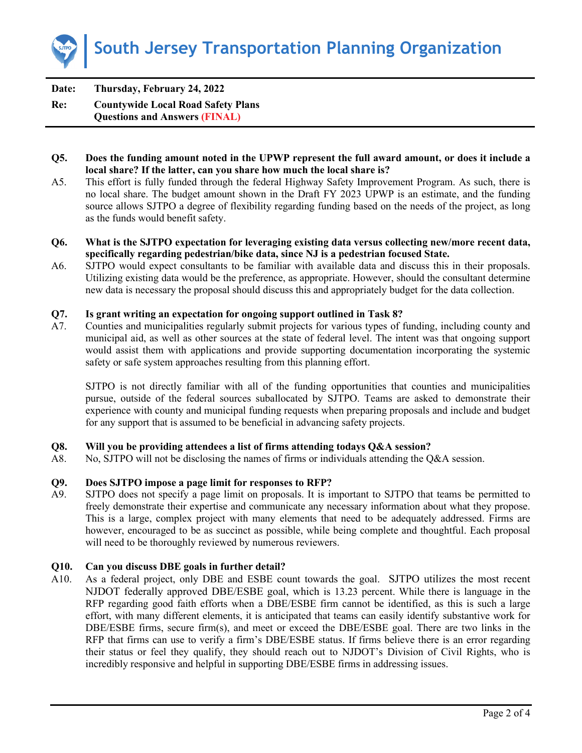

**Date: Thursday, February 24, 2022 Re: Countywide Local Road Safety Plans Questions and Answers (FINAL)**

- **Q5. Does the funding amount noted in the UPWP represent the full award amount, or does it include a local share? If the latter, can you share how much the local share is?**
- A5. This effort is fully funded through the federal Highway Safety Improvement Program. As such, there is no local share. The budget amount shown in the Draft FY 2023 UPWP is an estimate, and the funding source allows SJTPO a degree of flexibility regarding funding based on the needs of the project, as long as the funds would benefit safety.
- **Q6. What is the SJTPO expectation for leveraging existing data versus collecting new/more recent data, specifically regarding pedestrian/bike data, since NJ is a pedestrian focused State.**
- A6. SJTPO would expect consultants to be familiar with available data and discuss this in their proposals. Utilizing existing data would be the preference, as appropriate. However, should the consultant determine new data is necessary the proposal should discuss this and appropriately budget for the data collection.

#### **Q7. Is grant writing an expectation for ongoing support outlined in Task 8?**

A7. Counties and municipalities regularly submit projects for various types of funding, including county and municipal aid, as well as other sources at the state of federal level. The intent was that ongoing support would assist them with applications and provide supporting documentation incorporating the systemic safety or safe system approaches resulting from this planning effort.

SJTPO is not directly familiar with all of the funding opportunities that counties and municipalities pursue, outside of the federal sources suballocated by SJTPO. Teams are asked to demonstrate their experience with county and municipal funding requests when preparing proposals and include and budget for any support that is assumed to be beneficial in advancing safety projects.

#### **Q8. Will you be providing attendees a list of firms attending todays Q&A session?**

A8. No, SJTPO will not be disclosing the names of firms or individuals attending the Q&A session.

#### **Q9. Does SJTPO impose a page limit for responses to RFP?**

A9. SJTPO does not specify a page limit on proposals. It is important to SJTPO that teams be permitted to freely demonstrate their expertise and communicate any necessary information about what they propose. This is a large, complex project with many elements that need to be adequately addressed. Firms are however, encouraged to be as succinct as possible, while being complete and thoughtful. Each proposal will need to be thoroughly reviewed by numerous reviewers.

#### **Q10. Can you discuss DBE goals in further detail?**

A10. As a federal project, only DBE and ESBE count towards the goal. SJTPO utilizes the most recent NJDOT federally approved DBE/ESBE goal, which is 13.23 percent. While there is language in the RFP regarding good faith efforts when a DBE/ESBE firm cannot be identified, as this is such a large effort, with many different elements, it is anticipated that teams can easily identify substantive work for DBE/ESBE firms, secure firm(s), and meet or exceed the DBE/ESBE goal. There are two links in the RFP that firms can use to verify a firm's DBE/ESBE status. If firms believe there is an error regarding their status or feel they qualify, they should reach out to NJDOT's Division of Civil Rights, who is incredibly responsive and helpful in supporting DBE/ESBE firms in addressing issues.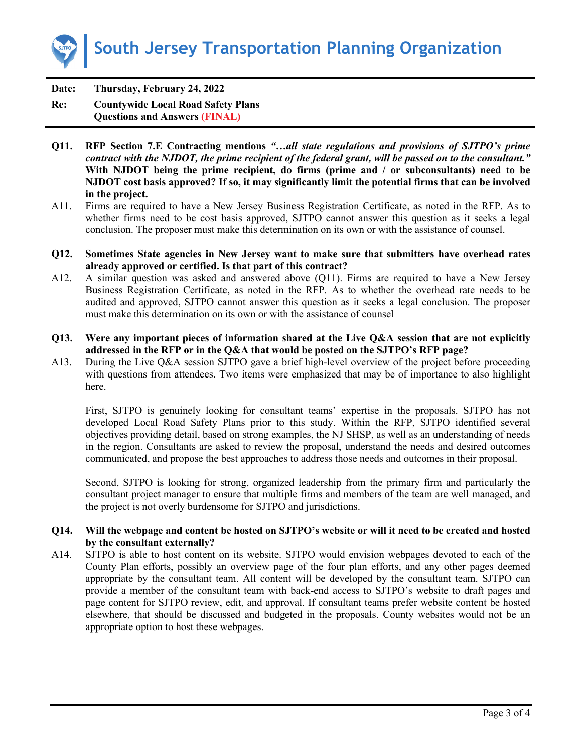

**Date: Thursday, February 24, 2022 Re: Countywide Local Road Safety Plans Questions and Answers (FINAL)**

- **Q11. RFP Section 7.E Contracting mentions** *"…all state regulations and provisions of SJTPO's prime contract with the NJDOT, the prime recipient of the federal grant, will be passed on to the consultant."*  **With NJDOT being the prime recipient, do firms (prime and / or subconsultants) need to be NJDOT cost basis approved? If so, it may significantly limit the potential firms that can be involved in the project.**
- A11. Firms are required to have a New Jersey Business Registration Certificate, as noted in the RFP. As to whether firms need to be cost basis approved, SJTPO cannot answer this question as it seeks a legal conclusion. The proposer must make this determination on its own or with the assistance of counsel.
- **Q12. Sometimes State agencies in New Jersey want to make sure that submitters have overhead rates already approved or certified. Is that part of this contract?**
- A12. A similar question was asked and answered above (Q11). Firms are required to have a New Jersey Business Registration Certificate, as noted in the RFP. As to whether the overhead rate needs to be audited and approved, SJTPO cannot answer this question as it seeks a legal conclusion. The proposer must make this determination on its own or with the assistance of counsel
- **Q13. Were any important pieces of information shared at the Live Q&A session that are not explicitly addressed in the RFP or in the Q&A that would be posted on the SJTPO's RFP page?**
- A13. During the Live Q&A session SJTPO gave a brief high-level overview of the project before proceeding with questions from attendees. Two items were emphasized that may be of importance to also highlight here.

First, SJTPO is genuinely looking for consultant teams' expertise in the proposals. SJTPO has not developed Local Road Safety Plans prior to this study. Within the RFP, SJTPO identified several objectives providing detail, based on strong examples, the NJ SHSP, as well as an understanding of needs in the region. Consultants are asked to review the proposal, understand the needs and desired outcomes communicated, and propose the best approaches to address those needs and outcomes in their proposal.

Second, SJTPO is looking for strong, organized leadership from the primary firm and particularly the consultant project manager to ensure that multiple firms and members of the team are well managed, and the project is not overly burdensome for SJTPO and jurisdictions.

### **Q14. Will the webpage and content be hosted on SJTPO's website or will it need to be created and hosted by the consultant externally?**

A14. SJTPO is able to host content on its website. SJTPO would envision webpages devoted to each of the County Plan efforts, possibly an overview page of the four plan efforts, and any other pages deemed appropriate by the consultant team. All content will be developed by the consultant team. SJTPO can provide a member of the consultant team with back-end access to SJTPO's website to draft pages and page content for SJTPO review, edit, and approval. If consultant teams prefer website content be hosted elsewhere, that should be discussed and budgeted in the proposals. County websites would not be an appropriate option to host these webpages.